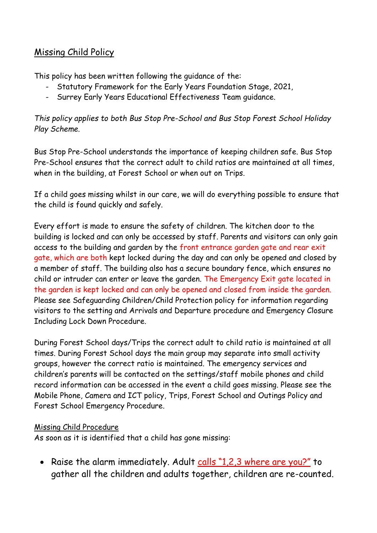## Missing Child Policy

This policy has been written following the guidance of the:

- Statutory Framework for the Early Years Foundation Stage, 2021,
- Surrey Early Years Educational Effectiveness Team guidance.

## *This policy applies to both Bus Stop Pre-School and Bus Stop Forest School Holiday Play Scheme.*

Bus Stop Pre-School understands the importance of keeping children safe. Bus Stop Pre-School ensures that the correct adult to child ratios are maintained at all times, when in the building, at Forest School or when out on Trips.

If a child goes missing whilst in our care, we will do everything possible to ensure that the child is found quickly and safely.

Every effort is made to ensure the safety of children. The kitchen door to the building is locked and can only be accessed by staff. Parents and visitors can only gain access to the building and garden by the front entrance garden gate and rear exit gate, which are both kept locked during the day and can only be opened and closed by a member of staff. The building also has a secure boundary fence, which ensures no child or intruder can enter or leave the garden. The Emergency Exit gate located in the garden is kept locked and can only be opened and closed from inside the garden. Please see Safeguarding Children/Child Protection policy for information regarding visitors to the setting and Arrivals and Departure procedure and Emergency Closure Including Lock Down Procedure.

During Forest School days/Trips the correct adult to child ratio is maintained at all times. During Forest School days the main group may separate into small activity groups, however the correct ratio is maintained. The emergency services and children's parents will be contacted on the settings/staff mobile phones and child record information can be accessed in the event a child goes missing. Please see the Mobile Phone, Camera and ICT policy, Trips, Forest School and Outings Policy and Forest School Emergency Procedure.

## Missing Child Procedure

As soon as it is identified that a child has gone missing:

• Raise the alarm immediately. Adult calls "1,2,3 where are you?" to gather all the children and adults together, children are re-counted.